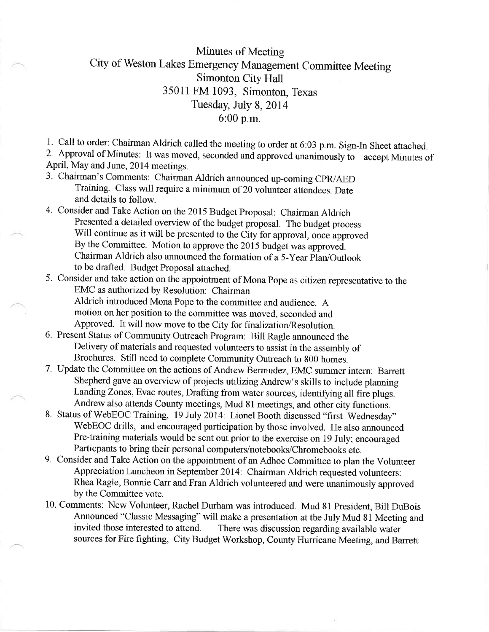## Minutes of Meeting City of Weston Lakes Emergency Management Committee Meeting Simonton City Hall 35011 FM 1093, Simonton, Texas Tuesday, July 8, 2014 6:00 p.m.

l. Call to order: Chairman Aldrich called the meeting to order at 6:03 p.m. Sign-In Sheet attached.

2' Approval of Minutes: It was moved, seconded and approved unanimously io accept Minutes of April, May and June,2014 meetings.

- 3. chairman's comments: chairman Aldrich announced up-coming cpR/AED Training. Class will require a minimurn of 20 volunteer attendees. Date and details to follow.
- 4. Consider and Take Action on the 2015 Budget Proposal: Chairman Aldrich Presented a detailed overview of the budget proposal. The budget process Will continue as it will be presented to the City for approval, once approved By the Committee. Motion to approve the 2015 budget was approved. Chairman Aldrich also announced the formation of a 5-Year Plan/Outlook to be drafted. Budget Proposal attached.
- 5. Consider and take action on the appointment of Mona Pope as citizen representative to the EMC as authorized by Resolution: Chairman Aldrich introduced Mona Pope to the committee and audience. A motion on her position to the committee was moved, seconded and
	- Approved. It will now move to the City for finalization/Resolution.
- 6. Present Status of community outreach Program: Bill Ragle announced the Delivery of materials and requested volunteers to assist in the assembly of Brochures. Still need to complete Community Outreach to 800 homes.
- 7. Update the Committee on the actions of Andrew Bermudez, EMC summer intern: Barrett Shepherd gave an overview of projects utilizing Andrew's skills to include planning Landing Zones, Evac routes, Drafting from water sources, identifying all fire plugs. Andrew also attends County meetings, Mud 81 meetings, and other city functions.
- 8. Status of WebEOC Training, 19 July 2014: Lionel Booth discussed "first Wednesday" WebEOC drills, and encouraged participation by those involved. He also announced Pre-training materials would be sent out prior to the exercise on 19 July; encouraged Particpants to bring their personal computers/notebooks/Chromeboolks etc.
- 9. Consider and Take Action on the appointment of an Adhoc Committee to plan the Volunteer Appreciation Luncheon in September 2014: Chairman Aldrich requested volunteers: Rhea Ragle, Bonnie Carr and Fran Aldrich volunteered and were unanimously approved by the Committee vote.
- 10. Comments: New Volunteer, Rachel Durham was introduced. Mud 8l President, Bill DuBois Announced "Classic Messaging" will make a presentation at the July Mud 81 Meeting and invited those interested to attend. There was discussion regarding available water There was discussion regarding available water sources for Fire fighting, City Budget Workshop, County Hurricane Meeting, and Barrett